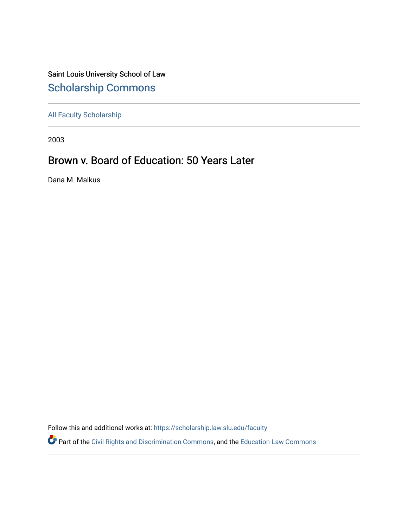Saint Louis University School of Law [Scholarship Commons](https://scholarship.law.slu.edu/)

[All Faculty Scholarship](https://scholarship.law.slu.edu/faculty) 

2003

## Brown v. Board of Education: 50 Years Later

Dana M. Malkus

Follow this and additional works at: [https://scholarship.law.slu.edu/faculty](https://scholarship.law.slu.edu/faculty?utm_source=scholarship.law.slu.edu%2Ffaculty%2F652&utm_medium=PDF&utm_campaign=PDFCoverPages)

Part of the [Civil Rights and Discrimination Commons,](https://network.bepress.com/hgg/discipline/585?utm_source=scholarship.law.slu.edu%2Ffaculty%2F652&utm_medium=PDF&utm_campaign=PDFCoverPages) and the [Education Law Commons](https://network.bepress.com/hgg/discipline/596?utm_source=scholarship.law.slu.edu%2Ffaculty%2F652&utm_medium=PDF&utm_campaign=PDFCoverPages)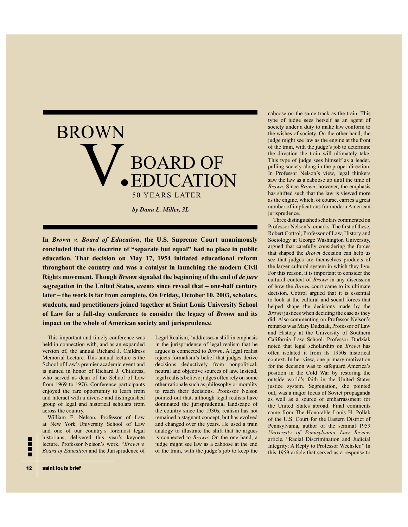

In *Brown v. Board of Education*, the U.S. Supreme Court unanimously concluded that the doctrine of "separate but equal" had no place in public education. That decision on May 17, 1954 initiated educational reform **throughout the country and was a catalyst in launching the modern Civil Rights movement. Though** *Brown* **signaled the beginning of the end of de jure segregation in the United States, events since reveal that – one-half century** later – the work is far from complete. On Friday, October 10, 2003, scholars, students, and practitioners joined together at Saint Louis University School of Law for a full-day conference to consider the legacy of *Brown* and its **impact on the whole of American society and jurisprudence.** 

This important and timely conference was held in connection with, and as an expanded version of, the annual Richard J. Childress Memorial Lecture. This annual lecture is the School of Law's premier academic event and is named in honor of Richard J. Childress, who served as dean of the School of Law from 1969 to 1976. Conference participants enjoyed the rare opportunity to learn from and interact with a diverse and distinguished group of legal and historical scholars from across the country.

William E. Nelson, Professor of Law at New York University School of Law and one of our country's foremost legal historians, delivered this year's keynote lecture. Professor Nelson's work, "Brown v. *Board of Education* and the Jurisprudence of Legal Realism," addresses a shift in emphasis in the jurisprudence of legal realism that he argues is connected to *Brown*. A legal realist rejects formalism's belief that judges derive decisions deductively from nonpolitical, neutral and objective sources of law. Instead, legal realists believe judges often rely on some other rationale such as philosophy or morality to reach their decisions. Professor Nelson pointed out that, although legal realists have dominated the jurisprudential landscape of the country since the 1930s, realism has not remained a stagnant concept, but has evolved and changed over the years. He used a train analogy to illustrate the shift that he argues is connected to *Brown*: On the one hand, a judge might see law as a caboose at the end of the train, with the judge's job to keep the

caboose on the same track as the train. This type of judge sees herself as an agent of society under a duty to make law conform to the wishes of society. On the other hand, the judge might see law as the engine at the front of the train, with the judge's job to determine the direction the train will ultimately take. This type of judge sees himself as a leader, pulling society along in the proper direction. In Professor Nelson's view, legal thinkers saw the law as a caboose up until the time of *Brown*. Since *Brown*, however, the emphasis has shifted such that the law is viewed more as the engine, which, of course, carries a great number of implications for modern American jurisprudence.

Three distinguished scholars commented on Professor Nelson's remarks. The frst of these, Robert Cottrol, Professor of Law, History and Sociology at George Washington University, argued that carefully considering the forces that shaped the *Brown* decision can help us see that judges are themselves products of the larger cultural system in which they live. For this reason, it is important to consider the cultural context of *Brown* in any discussion of how the *Brown* court came to its ultimate decision. Cottrol argued that it is essential to look at the cultural and social forces that helped shape the decisions made by the *Brown* justices when deciding the case as they did. Also commenting on Professor Nelson's remarks was Mary Dudziak, Professor of Law and History at the University of Southern California Law School. Professor Dudziak noted that legal scholarship on *Brown* has often isolated it from its 1950s historical context. In her view, one primary motivation for the decision was to safeguard America's position in the Cold War by restoring the outside world's faith in the United States justice system. Segregation, she pointed out, was a major focus of Soviet propaganda as well as a source of embarrassment for the United States abroad. Final comments came from The Honorable Louis H. Pollak of the U.S. Court for the Eastern District of Pennsylvania, author of the seminal 1959 *University of Pennsylvania Law Review*  article, "Racial Discrimination and Judicial Integrity: A Reply to Professor Wechsler." In this 1959 article that served as a response to